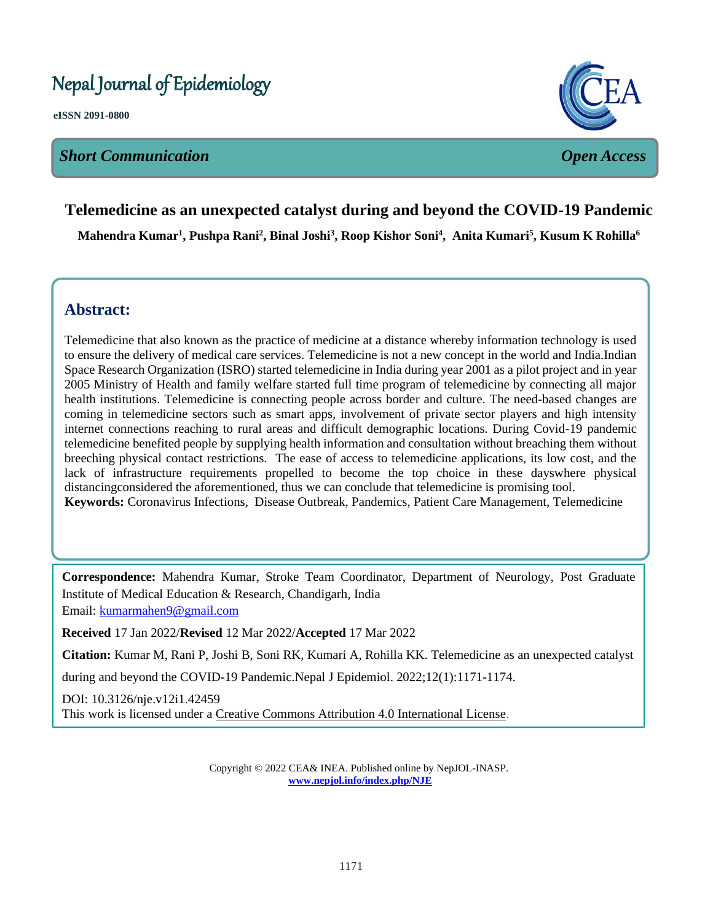# Nepal Journal of Epidemiology

**eISSN 2091-0800**

# *Short Communication Open Access*



# **Telemedicine as an unexpected catalyst during and beyond the COVID-19 Pandemic**   $\overline{ }$

**Mahendra Kumar<sup>1</sup> , Pushpa Rani<sup>2</sup> , Binal Joshi<sup>3</sup> , Roop Kishor Soni<sup>4</sup> , Anita Kumari<sup>5</sup> , Kusum K Rohilla<sup>6</sup>**

l

# **Abstract:**

Telemedicine that also known as the practice of medicine at a distance whereby information technology is used to ensure the delivery of medical care services. Telemedicine is not a new concept in the world and India.Indian Space Research Organization (ISRO) started telemedicine in India during year 2001 as a pilot project and in year 2005 Ministry of Health and family welfare started full time program of telemedicine by connecting all major health institutions. Telemedicine is connecting people across border and culture. The need-based changes are coming in telemedicine sectors such as smart apps, involvement of private sector players and high intensity internet connections reaching to rural areas and difficult demographic locations. During Covid-19 pandemic telemedicine benefited people by supplying health information and consultation without breaching them without breeching physical contact restrictions. The ease of access to telemedicine applications, its low cost, and the lack of infrastructure requirements propelled to become the top choice in these dayswhere physical distancingconsidered the aforementioned, thus we can conclude that telemedicine is promising tool. **Keywords:** Coronavirus Infections, Disease Outbreak, Pandemics, Patient Care Management, Telemedicine

**Correspondence:** Mahendra Kumar, Stroke Team Coordinator, Department of Neurology, Post Graduate Institute of Medical Education & Research, Chandigarh, India Email: [kumarmahen9@gmail.com](mailto:kumarmahen9@gmail.com)

**Received** 17 Jan 2022/**Revised** 12 Mar 2022/**Accepted** 17 Mar 2022

**Citation:** Kumar M, Rani P, Joshi B, Soni RK, Kumari A, Rohilla KK. Telemedicine as an unexpected catalyst

during and beyond the COVID-19 Pandemic.Nepal J Epidemiol. 2022;12(1):1171-1174.

DOI: 10.3126/nje.v12i1.42459 This work is licensed under a [Creative Commons Attribution 4.0 International License.](http://creativecommons.org/licenses/by/4.0/)

> Copyright © 2022 CEA& INEA. Published online by NepJOL-INASP. **[www.nepjol.info/index.php/NJE](http://www.nepjol.info/index.php/NJE)**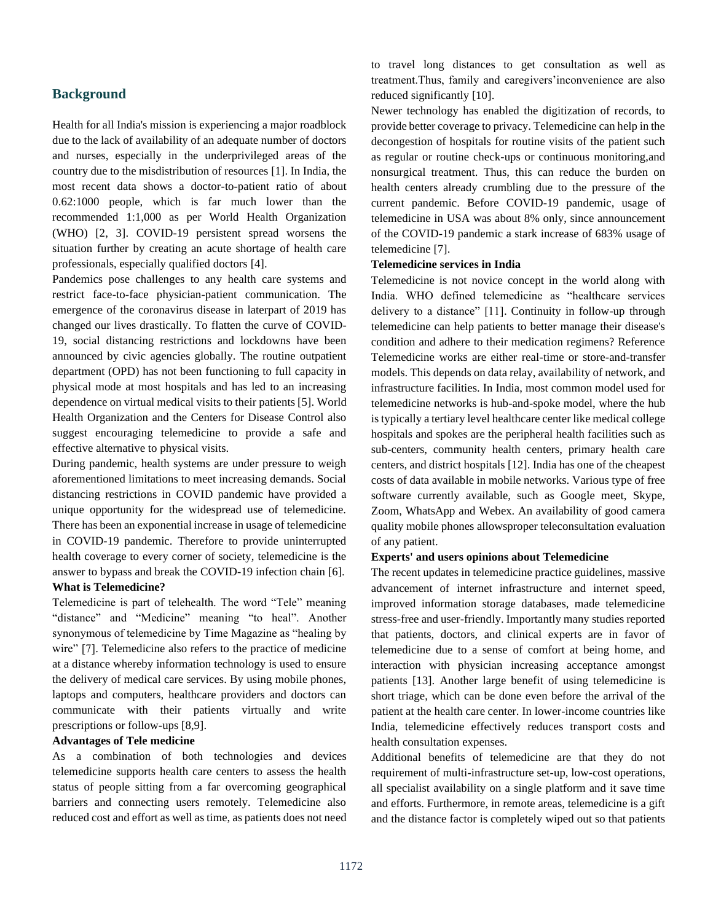# **Background**

Health for all India's mission is experiencing a major roadblock due to the lack of availability of an adequate number of doctors and nurses, especially in the underprivileged areas of the country due to the misdistribution of resources [1]. In India, the most recent data shows a doctor-to-patient ratio of about 0.62:1000 people, which is far much lower than the recommended 1:1,000 as per World Health Organization (WHO) [2, 3]. COVID-19 persistent spread worsens the situation further by creating an acute shortage of health care professionals, especially qualified doctors [4].

Pandemics pose challenges to any health care systems and restrict face-to-face physician-patient communication. The emergence of the coronavirus disease in laterpart of 2019 has changed our lives drastically. To flatten the curve of COVID-19, social distancing restrictions and lockdowns have been announced by civic agencies globally. The routine outpatient department (OPD) has not been functioning to full capacity in physical mode at most hospitals and has led to an increasing dependence on virtual medical visits to their patients [5]. World Health Organization and the Centers for Disease Control also suggest encouraging telemedicine to provide a safe and effective alternative to physical visits.

During pandemic, health systems are under pressure to weigh aforementioned limitations to meet increasing demands. Social distancing restrictions in COVID pandemic have provided a unique opportunity for the widespread use of telemedicine. There has been an exponential increase in usage of telemedicine in COVID-19 pandemic. Therefore to provide uninterrupted health coverage to every corner of society, telemedicine is the answer to bypass and break the COVID-19 infection chain [6].

#### **What is Telemedicine?**

Telemedicine is part of telehealth. The word "Tele" meaning "distance" and "Medicine" meaning "to heal". Another synonymous of telemedicine by Time Magazine as "healing by wire" [7]. Telemedicine also refers to the practice of medicine at a distance whereby information technology is used to ensure the delivery of medical care services. By using mobile phones, laptops and computers, healthcare providers and doctors can communicate with their patients virtually and write prescriptions or follow-ups [8,9].

#### **Advantages of Tele medicine**

As a combination of both technologies and devices telemedicine supports health care centers to assess the health status of people sitting from a far overcoming geographical barriers and connecting users remotely. Telemedicine also reduced cost and effort as well as time, as patients does not need to travel long distances to get consultation as well as treatment.Thus, family and caregivers'inconvenience are also reduced significantly [10].

Newer technology has enabled the digitization of records, to provide better coverage to privacy. Telemedicine can help in the decongestion of hospitals for routine visits of the patient such as regular or routine check-ups or continuous monitoring,and nonsurgical treatment. Thus, this can reduce the burden on health centers already crumbling due to the pressure of the current pandemic. Before COVID-19 pandemic, usage of telemedicine in USA was about 8% only, since announcement of the COVID-19 pandemic a stark increase of 683% usage of telemedicine [7].

# **Telemedicine services in India**

Telemedicine is not novice concept in the world along with India. WHO defined telemedicine as "healthcare services delivery to a distance" [11]. Continuity in follow-up through telemedicine can help patients to better manage their disease's condition and adhere to their medication regimens? Reference Telemedicine works are either real-time or store-and-transfer models. This depends on data relay, availability of network, and infrastructure facilities. In India, most common model used for telemedicine networks is hub-and-spoke model, where the hub is typically a tertiary level healthcare center like medical college hospitals and spokes are the peripheral health facilities such as sub-centers, community health centers, primary health care centers, and district hospitals [12]. India has one of the cheapest costs of data available in mobile networks. Various type of free software currently available, such as Google meet, Skype, Zoom, WhatsApp and Webex. An availability of good camera quality mobile phones allowsproper teleconsultation evaluation of any patient.

# **Experts' and users opinions about Telemedicine**

The recent updates in telemedicine practice guidelines, massive advancement of internet infrastructure and internet speed, improved information storage databases, made telemedicine stress-free and user-friendly. Importantly many studies reported that patients, doctors, and clinical experts are in favor of telemedicine due to a sense of comfort at being home, and interaction with physician increasing acceptance amongst patients [13]. Another large benefit of using telemedicine is short triage, which can be done even before the arrival of the patient at the health care center. In lower-income countries like India, telemedicine effectively reduces transport costs and health consultation expenses.

Additional benefits of telemedicine are that they do not requirement of multi-infrastructure set-up, low-cost operations, all specialist availability on a single platform and it save time and efforts. Furthermore, in remote areas, telemedicine is a gift and the distance factor is completely wiped out so that patients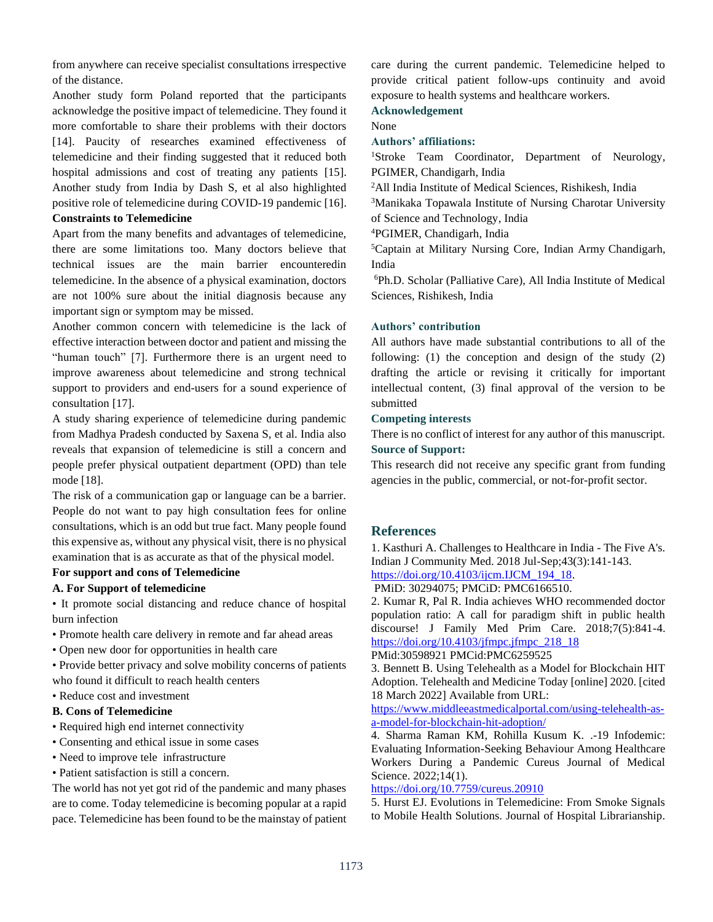from anywhere can receive specialist consultations irrespective of the distance.

Another study form Poland reported that the participants acknowledge the positive impact of telemedicine. They found it more comfortable to share their problems with their doctors [14]. Paucity of researches examined effectiveness of telemedicine and their finding suggested that it reduced both hospital admissions and cost of treating any patients [15]. Another study from India by Dash S, et al also highlighted positive role of telemedicine during COVID-19 pandemic [16].

#### **Constraints to Telemedicine**

Apart from the many benefits and advantages of telemedicine, there are some limitations too. Many doctors believe that technical issues are the main barrier encounteredin telemedicine. In the absence of a physical examination, doctors are not 100% sure about the initial diagnosis because any important sign or symptom may be missed.

Another common concern with telemedicine is the lack of effective interaction between doctor and patient and missing the "human touch" [7]. Furthermore there is an urgent need to improve awareness about telemedicine and strong technical support to providers and end-users for a sound experience of consultation [17].

A study sharing experience of telemedicine during pandemic from Madhya Pradesh conducted by Saxena S, et al. India also reveals that expansion of telemedicine is still a concern and people prefer physical outpatient department (OPD) than tele mode [18].

The risk of a communication gap or language can be a barrier. People do not want to pay high consultation fees for online consultations, which is an odd but true fact. Many people found this expensive as, without any physical visit, there is no physical examination that is as accurate as that of the physical model.

#### **For support and cons of Telemedicine**

#### **A. For Support of telemedicine**

• It promote social distancing and reduce chance of hospital burn infection

- Promote health care delivery in remote and far ahead areas
- Open new door for opportunities in health care

• Provide better privacy and solve mobility concerns of patients who found it difficult to reach health centers

• Reduce cost and investment

#### **B. Cons of Telemedicine**

- Required high end internet connectivity
- Consenting and ethical issue in some cases
- Need to improve tele infrastructure
- Patient satisfaction is still a concern.

The world has not yet got rid of the pandemic and many phases are to come. Today telemedicine is becoming popular at a rapid pace. Telemedicine has been found to be the mainstay of patient care during the current pandemic. Telemedicine helped to provide critical patient follow-ups continuity and avoid exposure to health systems and healthcare workers.

#### **Acknowledgement**

None

#### **Authors' affiliations:**

<sup>1</sup>Stroke Team Coordinator, Department of Neurology, PGIMER, Chandigarh, India

<sup>2</sup>All India Institute of Medical Sciences, Rishikesh, India

<sup>3</sup>Manikaka Topawala Institute of Nursing Charotar University of Science and Technology, India

<sup>4</sup>PGIMER, Chandigarh, India

<sup>5</sup>Captain at Military Nursing Core, Indian Army Chandigarh, India

<sup>6</sup>Ph.D. Scholar (Palliative Care), All India Institute of Medical Sciences, Rishikesh, India

#### **Authors' contribution**

All authors have made substantial contributions to all of the following: (1) the conception and design of the study (2) drafting the article or revising it critically for important intellectual content, (3) final approval of the version to be submitted

#### **Competing interests**

There is no conflict of interest for any author of this manuscript. **Source of Support:**

This research did not receive any specific grant from funding agencies in the public, commercial, or not-for-profit sector.

# **References**

1. Kasthuri A. Challenges to Healthcare in India - The Five A's. Indian J Community Med. 2018 Jul-Sep;43(3):141-143.

[https://doi.org/10.4103/ijcm.IJCM\\_194\\_18.](https://doi.org/10.4103/ijcm.IJCM_194_18) PMiD: 30294075; PMCiD: PMC6166510.

2. Kumar R, Pal R. India achieves WHO recommended doctor population ratio: A call for paradigm shift in public health discourse! J Family Med Prim Care. 2018;7(5):841-4. https://doi.org/10.4103/jfmpc.jfmpc $218$  18

PMid:30598921 PMCid:PMC6259525

3. Bennett B. Using Telehealth as a Model for Blockchain HIT Adoption. Telehealth and Medicine Today [online] 2020. [cited 18 March 2022] Available from URL:

[https://www.middleeastmedicalportal.com/using-telehealth-as](https://www.middleeastmedicalportal.com/using-telehealth-as-a-model-for-blockchain-hit-adoption/)[a-model-for-blockchain-hit-adoption/](https://www.middleeastmedicalportal.com/using-telehealth-as-a-model-for-blockchain-hit-adoption/)

4. Sharma Raman KM, Rohilla Kusum K. .-19 Infodemic: Evaluating Information-Seeking Behaviour Among Healthcare Workers During a Pandemic Cureus Journal of Medical Science. 2022;14(1).

# <https://doi.org/10.7759/cureus.20910>

5. Hurst EJ. Evolutions in Telemedicine: From Smoke Signals to Mobile Health Solutions. Journal of Hospital Librarianship.